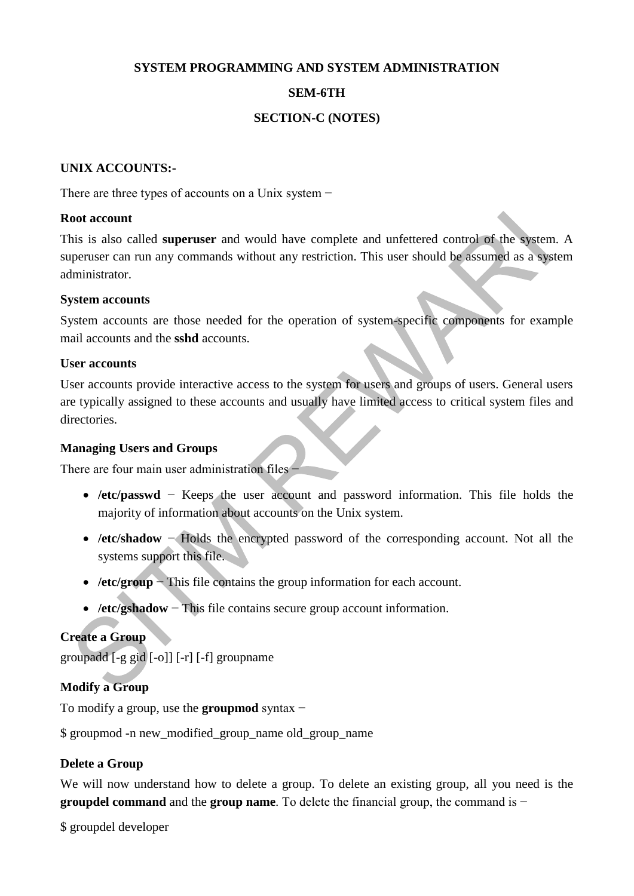#### **SYSTEM PROGRAMMING AND SYSTEM ADMINISTRATION**

#### **SEM-6TH**

#### **SECTION-C (NOTES)**

#### **UNIX ACCOUNTS:-**

There are three types of accounts on a Unix system –

#### **Root account**

This is also called **superuser** and would have complete and unfettered control of the system. A superuser can run any commands without any restriction. This user should be assumed as a system administrator.

#### **System accounts**

System accounts are those needed for the operation of system-specific components for example mail accounts and the **sshd** accounts.

#### **User accounts**

User accounts provide interactive access to the system for users and groups of users. General users are typically assigned to these accounts and usually have limited access to critical system files and directories.

#### **Managing Users and Groups**

There are four main user administration files

- **/etc/passwd** − Keeps the user account and password information. This file holds the majority of information about accounts on the Unix system.
- **/etc/shadow** − Holds the encrypted password of the corresponding account. Not all the systems support this file.
- **/etc/group** − This file contains the group information for each account.
- **/etc/gshadow** − This file contains secure group account information.

#### **Create a Group**

groupadd [-g gid [-o]] [-r] [-f] groupname

#### **Modify a Group**

To modify a group, use the **groupmod** syntax −

\$ groupmod -n new\_modified\_group\_name old\_group\_name

#### **Delete a Group**

We will now understand how to delete a group. To delete an existing group, all you need is the **groupdel command** and the **group name**. To delete the financial group, the command is −

\$ groupdel developer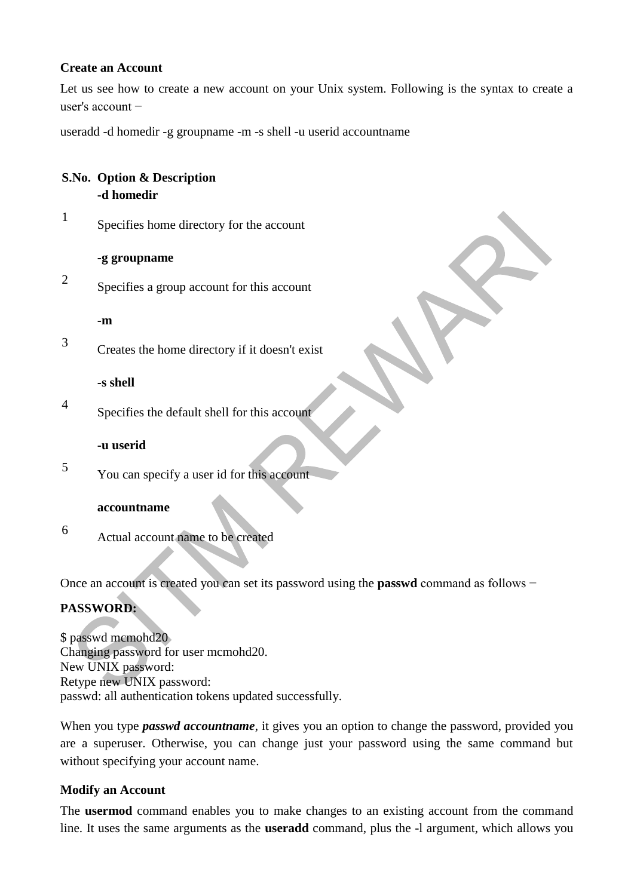#### **Create an Account**

Let us see how to create a new account on your Unix system. Following is the syntax to create a user's account −

useradd -d homedir -g groupname -m -s shell -u userid accountname

### **S.No. Option & Description -d homedir**

1 Specifies home directory for the account

#### **-g groupname**

2 Specifies a group account for this account

#### **-m**

3 Creates the home directory if it doesn't exist

#### **-s shell**

4 Specifies the default shell for this account

#### **-u userid**

5 You can specify a user id for this account

#### **accountname**

6 Actual account name to be created

Once an account is created you can set its password using the **passwd** command as follows −

#### **PASSWORD:**

\$ passwd mcmohd20 Changing password for user mcmohd20. New UNIX password: Retype new UNIX password: passwd: all authentication tokens updated successfully.

When you type *passwd accountname*, it gives you an option to change the password, provided you are a superuser. Otherwise, you can change just your password using the same command but without specifying your account name.

#### **Modify an Account**

The **usermod** command enables you to make changes to an existing account from the command line. It uses the same arguments as the **useradd** command, plus the -l argument, which allows you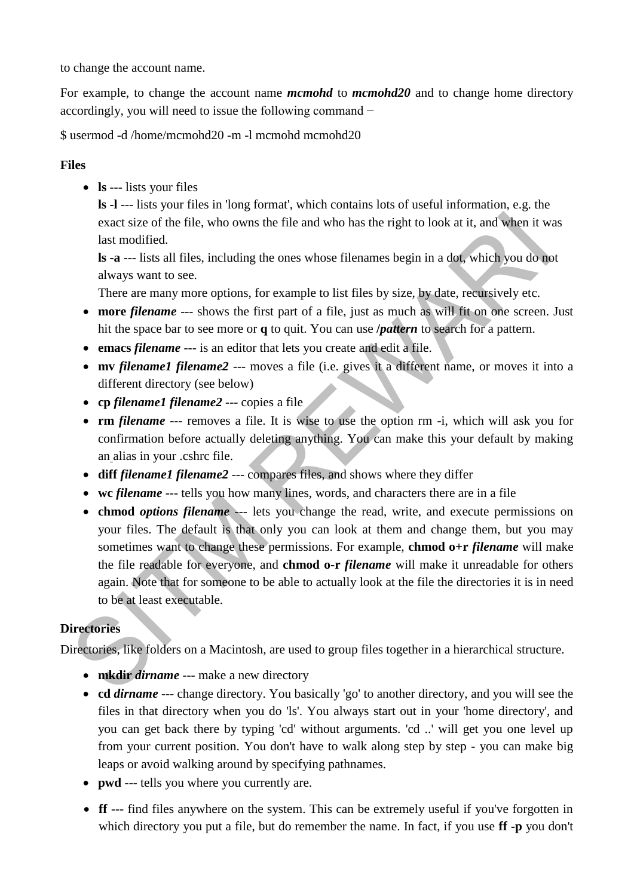to change the account name.

For example, to change the account name *mcmohd* to *mcmohd20* and to change home directory accordingly, you will need to issue the following command −

\$ usermod -d /home/mcmohd20 -m -l mcmohd mcmohd20

### **Files**

• **ls** --- lists your files

**ls -l** --- lists your files in 'long format', which contains lots of useful information, e.g. the exact size of the file, who owns the file and who has the right to look at it, and when it was last modified.

**ls -a** --- lists all files, including the ones whose filenames begin in a dot, which you do not always want to see.

There are many more options, for example to list files by size, by date, recursively etc.

- more *filename* --- shows the first part of a file, just as much as will fit on one screen. Just hit the space bar to see more or **q** to quit. You can use **/***pattern* to search for a pattern.
- **emacs** *filename* --- is an editor that lets you create and edit a file.
- **mv** *filename1 filename2* --- moves a file (i.e. gives it a different name, or moves it into a different directory (see below)
- **cp** *filename1 filename2* --- copies a file
- **rm** *filename* --- removes a file. It is wise to use the option rm -i, which will ask you for confirmation before actually deleting anything. You can make this your default by making an alias in your .cshrc file.
- diff *filename1 filename2* --- compares files, and shows where they differ
- wc *filename* --- tells you how many lines, words, and characters there are in a file
- **chmod** *options filename* --- lets you change the read, write, and execute permissions on your files. The default is that only you can look at them and change them, but you may sometimes want to change these permissions. For example, **chmod o+r** *filename* will make the file readable for everyone, and **chmod o-r** *filename* will make it unreadable for others again. Note that for someone to be able to actually look at the file the directories it is in need to be at least executable.

### **Directories**

Directories, like folders on a Macintosh, are used to group files together in a hierarchical structure.

- mkdir *dirname* --- make a new directory
- cd *dirname* --- change directory. You basically 'go' to another directory, and you will see the files in that directory when you do 'ls'. You always start out in your 'home directory', and you can get back there by typing 'cd' without arguments. 'cd ..' will get you one level up from your current position. You don't have to walk along step by step - you can make big leaps or avoid walking around by specifying pathnames.
- **pwd** --- tells you where you currently are.
- **ff** --- find files anywhere on the system. This can be extremely useful if you've forgotten in which directory you put a file, but do remember the name. In fact, if you use **ff -p** you don't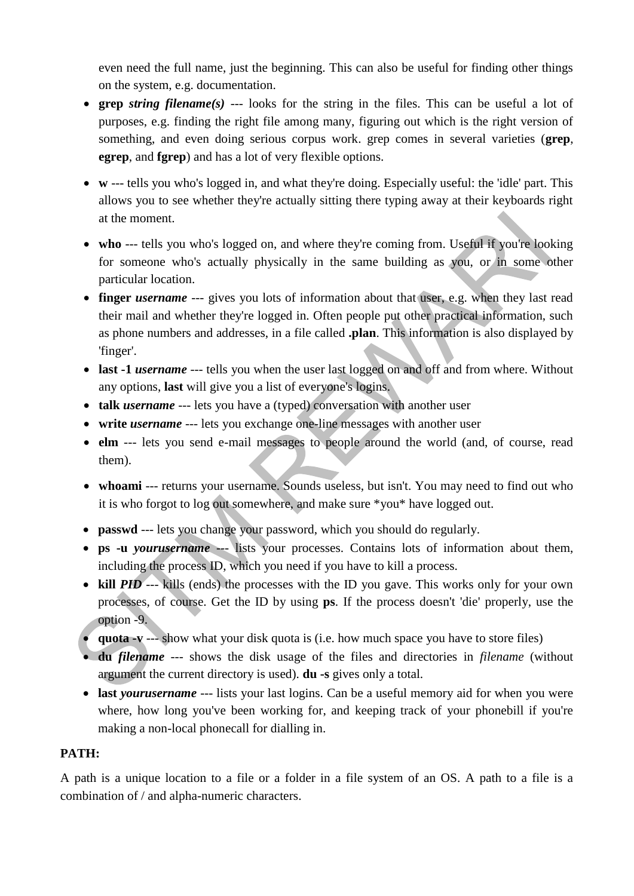even need the full name, just the beginning. This can also be useful for finding other things on the system, e.g. documentation.

- **grep** *string filename(s)* --- looks for the string in the files. This can be useful a lot of purposes, e.g. finding the right file among many, figuring out which is the right version of something, and even doing serious corpus work. grep comes in several varieties (**grep**, **egrep**, and **fgrep**) and has a lot of very flexible options.
- **w** --- tells you who's logged in, and what they're doing. Especially useful: the 'idle' part. This allows you to see whether they're actually sitting there typing away at their keyboards right at the moment.
- who --- tells you who's logged on, and where they're coming from. Useful if you're looking for someone who's actually physically in the same building as you, or in some other particular location.
- **finger** *username* --- gives you lots of information about that user, e.g. when they last read their mail and whether they're logged in. Often people put other practical information, such as phone numbers and addresses, in a file called **.plan**. This information is also displayed by 'finger'.
- last -1 *username* --- tells you when the user last logged on and off and from where. Without any options, **last** will give you a list of everyone's logins.
- **talk** *username* --- lets you have a (typed) conversation with another user
- **write** *username* --- lets you exchange one-line messages with another user
- **elm** --- lets you send e-mail messages to people around the world (and, of course, read them).
- **whoami** --- returns your username. Sounds useless, but isn't. You may need to find out who it is who forgot to log out somewhere, and make sure \*you\* have logged out.
- **passwd** --- lets you change your password, which you should do regularly.
- **ps -u** *yourusername* --- lists your processes. Contains lots of information about them, including the process ID, which you need if you have to kill a process.
- kill *PID* --- kills (ends) the processes with the ID you gave. This works only for your own processes, of course. Get the ID by using **ps**. If the process doesn't 'die' properly, use the option -9.
- **quota -v** --- show what your disk quota is (i.e. how much space you have to store files)
- **du** *filename* --- shows the disk usage of the files and directories in *filename* (without argument the current directory is used). **du -s** gives only a total.
- last *vourusername* --- lists your last logins. Can be a useful memory aid for when you were where, how long you've been working for, and keeping track of your phonebill if you're making a non-local phonecall for dialling in.

### **PATH:**

A path is a unique location to a file or a folder in a file system of an OS. A path to a file is a combination of / and alpha-numeric characters.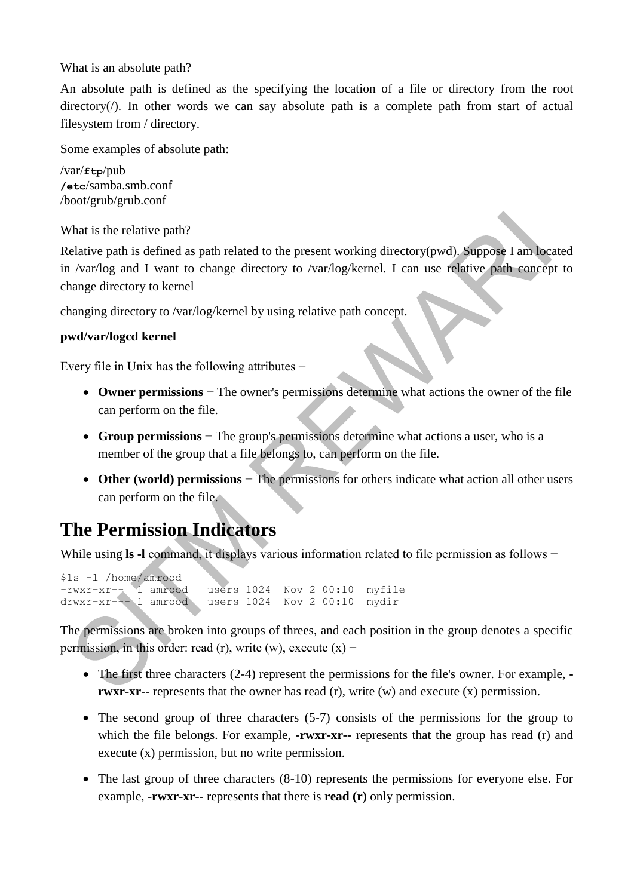What is an absolute path?

An absolute path is defined as the specifying the location of a file or directory from the root directory(*i*). In other words we can say absolute path is a complete path from start of actual filesystem from / directory.

Some examples of absolute path:

/var/**ftp**/pub **/etc**/samba.smb.conf /boot/grub/grub.conf

What is the relative path?

Relative path is defined as path related to the present working directory(pwd). Suppose I am located in /var/log and I want to change directory to /var/log/kernel. I can use relative path concept to change directory to kernel

changing directory to /var/log/kernel by using relative path concept.

#### **pwd/var/logcd kernel**

Every file in Unix has the following attributes −

- **Owner permissions** − The owner's permissions determine what actions the owner of the file can perform on the file.
- **Group permissions** − The group's permissions determine what actions a user, who is a member of the group that a file belongs to, can perform on the file.
- **Other (world) permissions** − The permissions for others indicate what action all other users can perform on the file.

# **The Permission Indicators**

While using **ls -l** command, it displays various information related to file permission as follows −

```
$ls -l /home/amrood
-rwxr-xr-- 1 amrood users 1024 Nov 2 00:10 myfile
                     users 1024 Nov 2 00:10 mydir
```
The permissions are broken into groups of threes, and each position in the group denotes a specific permission, in this order: read (r), write (w), execute  $(x)$  –

- The first three characters (2-4) represent the permissions for the file's owner. For example,  **rwxr-xr--** represents that the owner has read (r), write (w) and execute (x) permission.
- $\bullet$  The second group of three characters (5-7) consists of the permissions for the group to which the file belongs. For example, **-rwxr-xr--** represents that the group has read (r) and execute (x) permission, but no write permission.
- The last group of three characters (8-10) represents the permissions for everyone else. For example, **-rwxr-xr--** represents that there is **read (r)** only permission.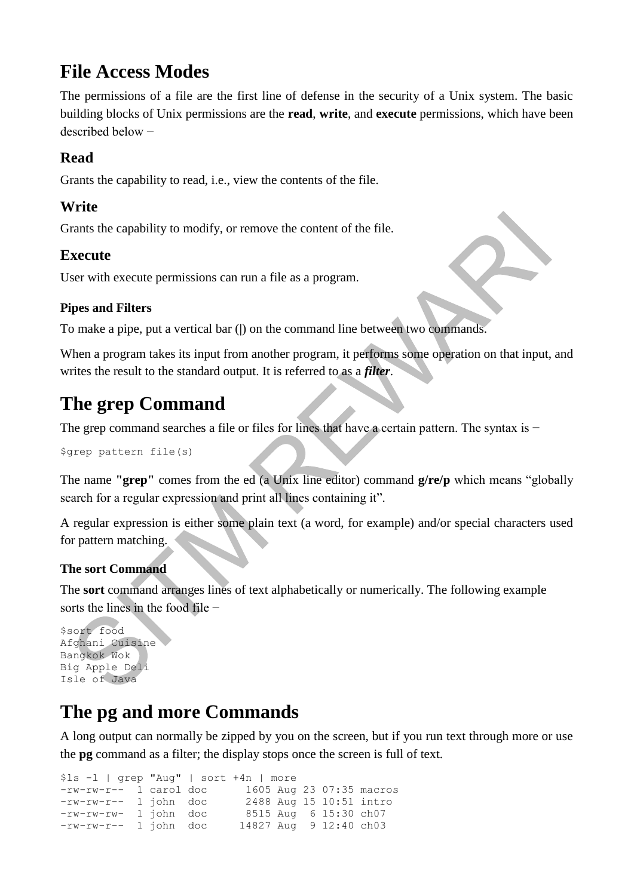## **File Access Modes**

The permissions of a file are the first line of defense in the security of a Unix system. The basic building blocks of Unix permissions are the **read**, **write**, and **execute** permissions, which have been described below −

## **Read**

Grants the capability to read, i.e., view the contents of the file.

## **Write**

Grants the capability to modify, or remove the content of the file.

## **Execute**

User with execute permissions can run a file as a program.

### **Pipes and Filters**

To make a pipe, put a vertical bar (**|**) on the command line between two commands.

When a program takes its input from another program, it performs some operation on that input, and writes the result to the standard output. It is referred to as a *filter*.

# **The grep Command**

The grep command searches a file or files for lines that have a certain pattern. The syntax is −

```
$grep pattern file(s)
```
The name **"grep"** comes from the ed (a Unix line editor) command **g/re/p** which means "globally search for a regular expression and print all lines containing it".

A regular expression is either some plain text (a word, for example) and/or special characters used for pattern matching.

### **The sort Command**

The **sort** command arranges lines of text alphabetically or numerically. The following example sorts the lines in the food file −

```
$sort food
Afghani Cuisine
Bangkok Wok
Big Apple Deli
Isle of Java
```
# **The pg and more Commands**

A long output can normally be zipped by you on the screen, but if you run text through more or use the **pg** command as a filter; the display stops once the screen is full of text.

```
$ls -l | grep "Aug" | sort +4n | more
-rw-rw-r-- 1 carol doc 1605 Aug 23 07:35 macros
-rw-rw-r-- 1 john doc 2488 Aug 15 10:51 intro
-rw-rw-rw- 1 john doc 8515 Aug 6 15:30 ch07
-rw-rw-r-- 1 john doc 0010 Aug 0 10.00 Cho?<br>-rw-rw-r-- 1 john doc 014827 Aug 9 12:40 ch03
```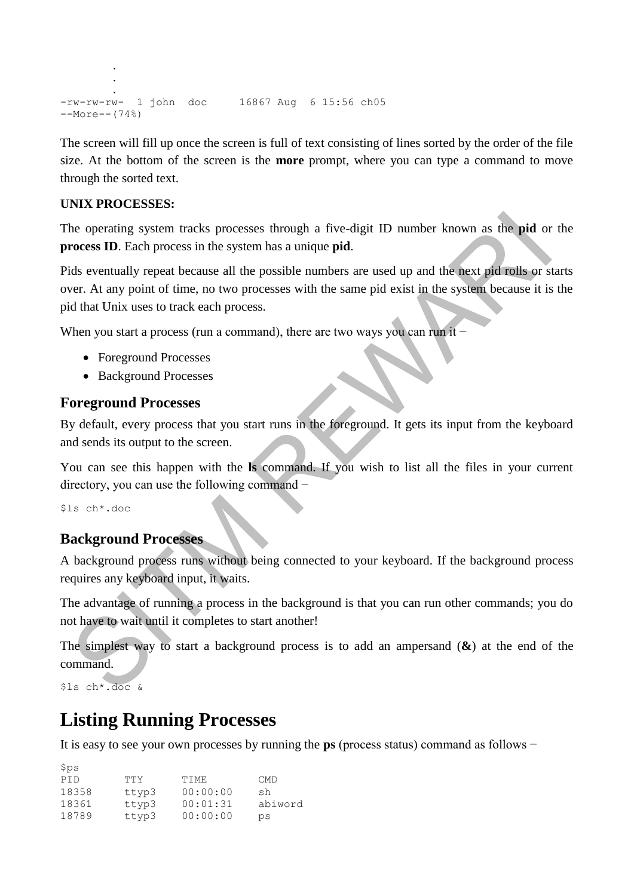```
 .
 .
-rw-rw-rw- 1 john doc 16867 Aug 6 15:56 ch05
--More--(74%)
```
The screen will fill up once the screen is full of text consisting of lines sorted by the order of the file size. At the bottom of the screen is the **more** prompt, where you can type a command to move through the sorted text.

#### **UNIX PROCESSES:**

.

The operating system tracks processes through a five-digit ID number known as the **pid** or the **process ID**. Each process in the system has a unique **pid**.

Pids eventually repeat because all the possible numbers are used up and the next pid rolls or starts over. At any point of time, no two processes with the same pid exist in the system because it is the pid that Unix uses to track each process.

When you start a process (run a command), there are two ways you can run it  $-$ 

- Foreground Processes
- Background Processes

### **Foreground Processes**

By default, every process that you start runs in the foreground. It gets its input from the keyboard and sends its output to the screen.

You can see this happen with the **ls** command. If you wish to list all the files in your current directory, you can use the following command −

\$ls ch\*.doc

### **Background Processes**

A background process runs without being connected to your keyboard. If the background process requires any keyboard input, it waits.

The advantage of running a process in the background is that you can run other commands; you do not have to wait until it completes to start another!

The simplest way to start a background process is to add an ampersand (**&**) at the end of the command.

```
$ls ch*.doc &
```
 $\ddot{\sigma}$ 

## **Listing Running Processes**

It is easy to see your own processes by running the **ps** (process status) command as follows −

| TTY   | TTMF.    | CMD     |
|-------|----------|---------|
| ttyp3 | 00:00:00 | sh      |
| ttyp3 | 00:01:31 | abiword |
| ttyp3 | 00:00:00 | ps      |
|       |          |         |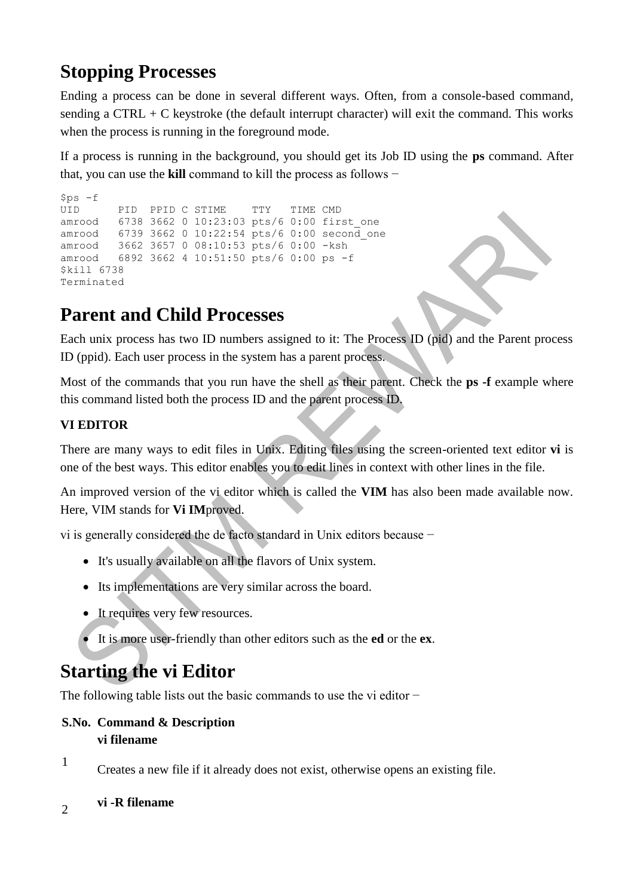# **Stopping Processes**

Ending a process can be done in several different ways. Often, from a console-based command, sending a  $CTRL + C$  keystroke (the default interrupt character) will exit the command. This works when the process is running in the foreground mode.

If a process is running in the background, you should get its Job ID using the **ps** command. After that, you can use the **kill** command to kill the process as follows −

```
$ps -fUID PID PPID C STIME TTY TIME CMD
amrood 6738 3662 0 10:23:03 pts/6 0:00 first one
amrood 6739 3662 0 10:22:54 pts/6 0:00 second_one
amrood 3662 3657 0 08:10:53 pts/6 0:00 -ksh
amrood 6892 3662 4 10:51:50 pts/6 0:00 ps -f
$kill 6738
Terminated
```
# **Parent and Child Processes**

Each unix process has two ID numbers assigned to it: The Process ID (pid) and the Parent process ID (ppid). Each user process in the system has a parent process.

Most of the commands that you run have the shell as their parent. Check the **ps -f** example where this command listed both the process ID and the parent process ID.

## **VI EDITOR**

There are many ways to edit files in Unix. Editing files using the screen-oriented text editor **vi** is one of the best ways. This editor enables you to edit lines in context with other lines in the file.

An improved version of the vi editor which is called the **VIM** has also been made available now. Here, VIM stands for **Vi IM**proved.

vi is generally considered the de facto standard in Unix editors because −

- It's usually available on all the flavors of Unix system.
- Its implementations are very similar across the board.
- It requires very few resources.
- It is more user-friendly than other editors such as the **ed** or the **ex**.

# **Starting the vi Editor**

The following table lists out the basic commands to use the vi editor −

### **S.No. Command & Description vi filename**

1 Creates a new file if it already does not exist, otherwise opens an existing file.

 $\overline{2}$ **vi -R filename**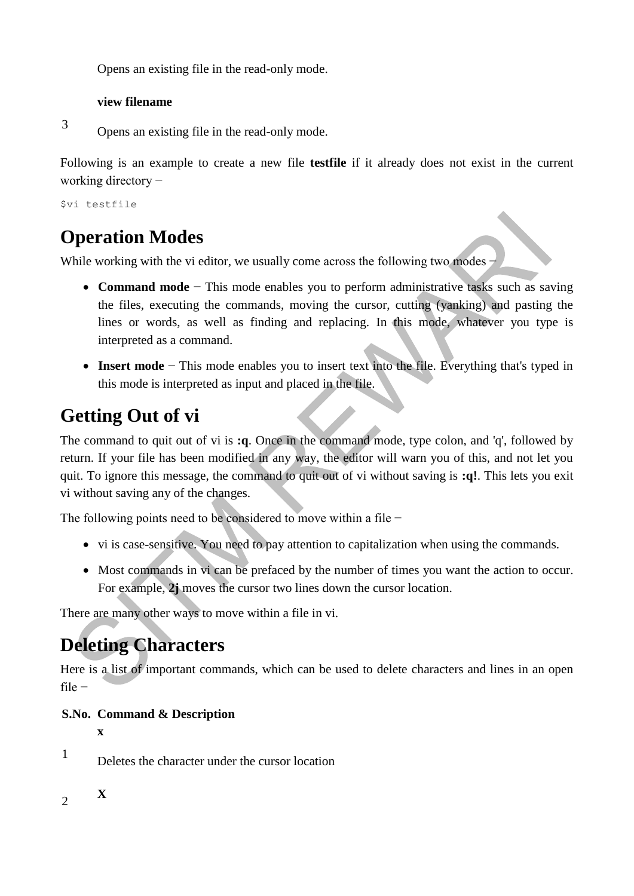Opens an existing file in the read-only mode.

### **view filename**

```
3
       Opens an existing file in the read-only mode.
```
Following is an example to create a new file **testfile** if it already does not exist in the current working directory −

\$vi testfile

# **Operation Modes**

While working with the vi editor, we usually come across the following two modes −

- **Command mode** − This mode enables you to perform administrative tasks such as saving the files, executing the commands, moving the cursor, cutting (yanking) and pasting the lines or words, as well as finding and replacing. In this mode, whatever you type is interpreted as a command.
- **Insert mode** − This mode enables you to insert text into the file. Everything that's typed in this mode is interpreted as input and placed in the file.

# **Getting Out of vi**

The command to quit out of vi is **:q**. Once in the command mode, type colon, and 'q', followed by return. If your file has been modified in any way, the editor will warn you of this, and not let you quit. To ignore this message, the command to quit out of vi without saving is **:q!**. This lets you exit vi without saving any of the changes.

The following points need to be considered to move within a file −

- vi is case-sensitive. You need to pay attention to capitalization when using the commands.
- Most commands in vi can be prefaced by the number of times you want the action to occur. For example, **2j** moves the cursor two lines down the cursor location.

There are many other ways to move within a file in vi.

# **Deleting Characters**

Here is a list of important commands, which can be used to delete characters and lines in an open file −

## **S.No. Command & Description**

**x**

**X**

- 1 Deletes the character under the cursor location
- $\overline{2}$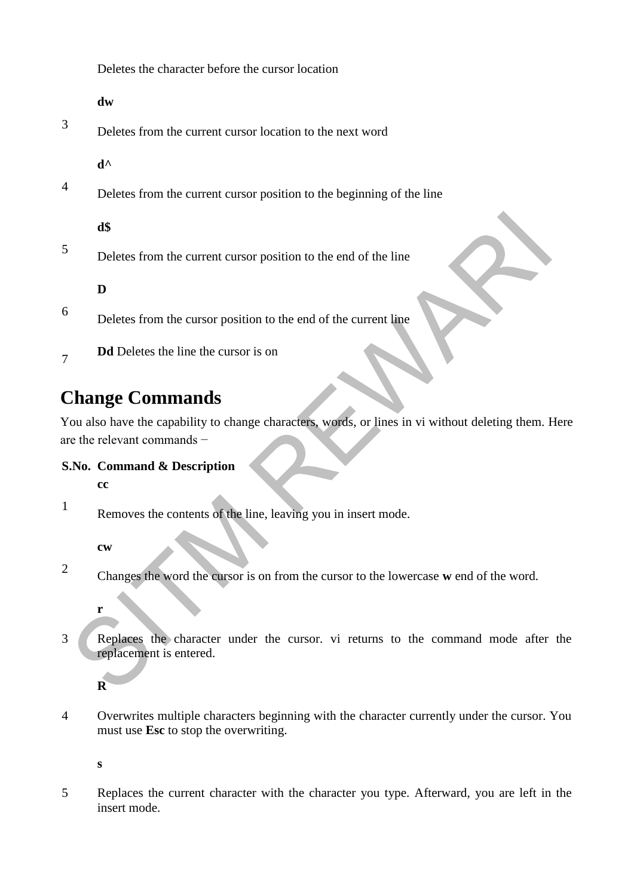Deletes the character before the cursor location

|                | dw                                                                    |
|----------------|-----------------------------------------------------------------------|
| 3              | Deletes from the current cursor location to the next word             |
|                | $d^{\wedge}$                                                          |
| $\overline{A}$ | Deletes from the current cursor position to the beginning of the line |
|                | $\mathbf{d}\mathbf{\$}$                                               |
| 5              | Deletes from the current cursor position to the end of the line       |
|                | D                                                                     |
| 6              | Deletes from the cursor position to the end of the current line       |
|                | <b>Dd</b> Deletes the line the cursor is on                           |

# **Change Commands**

You also have the capability to change characters, words, or lines in vi without deleting them. Here are the relevant commands −

## **S.No. Command & Description**

**cc**

1 Removes the contents of the line, leaving you in insert mode.

**cw**

2 Changes the word the cursor is on from the cursor to the lowercase **w** end of the word.

**r**

- 3 Replaces the character under the cursor. vi returns to the command mode after the replacement is entered.
	- **R**
- 4 Overwrites multiple characters beginning with the character currently under the cursor. You must use **Esc** to stop the overwriting.

**s**

5 Replaces the current character with the character you type. Afterward, you are left in the insert mode.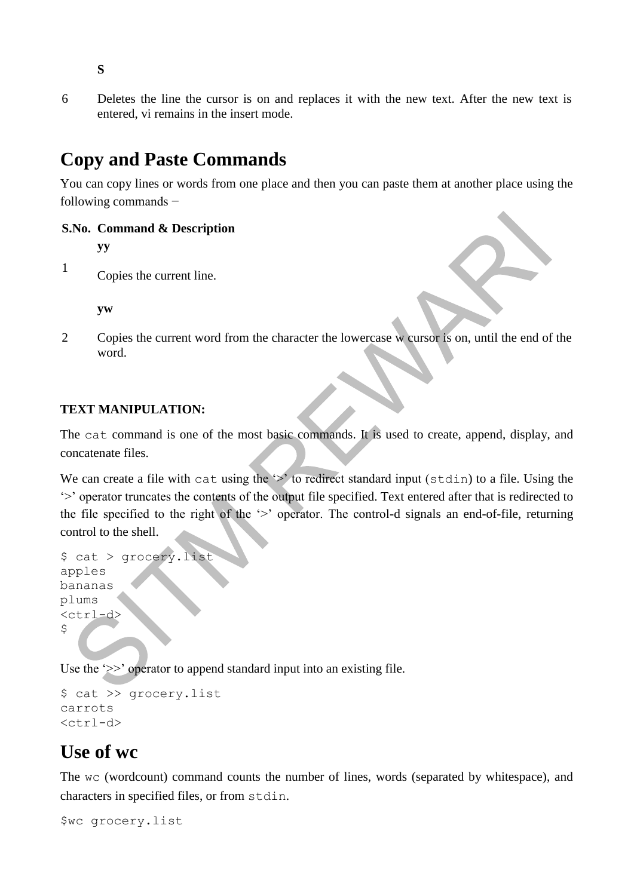6 Deletes the line the cursor is on and replaces it with the new text. After the new text is entered, vi remains in the insert mode.

# **Copy and Paste Commands**

You can copy lines or words from one place and then you can paste them at another place using the following commands −

#### **S.No. Command & Description**

**yy**

1 Copies the current line.

**yw**

 $\mathfrak{D}$ Copies the current word from the character the lowercase w cursor is on, until the end of the word.

#### **TEXT MANIPULATION:**

The cat command is one of the most basic commands. It is used to create, append, display, and concatenate files.

We can create a file with cat using the  $\gg$  to redirect standard input (stdin) to a file. Using the '>' operator truncates the contents of the output file specified. Text entered after that is redirected to the file specified to the right of the '>' operator. The control-d signals an end-of-file, returning control to the shell.

```
$ cat > grocery.list
apples
bananas
plums
<ctrl-d>
$
```
Use the ' $\gg$ ' operator to append standard input into an existing file.

```
$ cat >> grocery.list
carrots
<ctrl-d>
```
# **Use of wc**

The wc (wordcount) command counts the number of lines, words (separated by whitespace), and characters in specified files, or from stdin.

\$wc grocery.list

**S**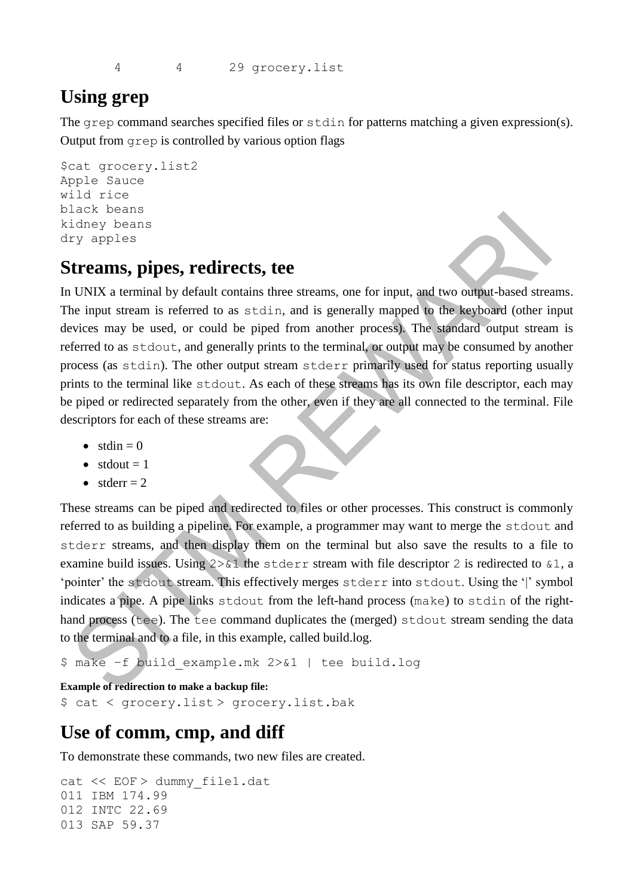4 4 29 grocery.list

# **Using grep**

The grep command searches specified files or stdin for patterns matching a given expression(s). Output from grep is controlled by various option flags

```
$cat grocery.list2
Apple Sauce
wild rice
black beans
kidney beans
dry apples
```
## **Streams, pipes, redirects, tee**

In UNIX a terminal by default contains three streams, one for input, and two output-based streams. The input stream is referred to as stdin, and is generally mapped to the keyboard (other input devices may be used, or could be piped from another process). The standard output stream is referred to as stdout, and generally prints to the terminal, or output may be consumed by another process (as stdin). The other output stream stderr primarily used for status reporting usually prints to the terminal like stdout. As each of these streams has its own file descriptor, each may be piped or redirected separately from the other, even if they are all connected to the terminal. File descriptors for each of these streams are:

- $\bullet$  stdin = 0
- $\bullet$  stdout = 1
- $\bullet$  stderr = 2

These streams can be piped and redirected to files or other processes. This construct is commonly referred to as building a pipeline. For example, a programmer may want to merge the stdout and stderr streams, and then display them on the terminal but also save the results to a file to examine build issues. Using  $2 > 2$  the stderr stream with file descriptor 2 is redirected to  $2/1$ , a 'pointer' the stdout stream. This effectively merges stderr into stdout. Using the '|' symbol indicates a pipe. A pipe links stdout from the left-hand process (make) to stdin of the righthand process (tee). The tee command duplicates the (merged) stdout stream sending the data to the terminal and to a file, in this example, called build.log.

\$ make –f build\_example.mk 2>&1 | tee build.log

**Example of redirection to make a backup file:** \$ cat < grocery.list > grocery.list.bak

## **Use of comm, cmp, and diff**

To demonstrate these commands, two new files are created.

```
cat << EOF > dummy file1.dat
011 IBM 174.99
012 INTC 22.69
013 SAP 59.37
```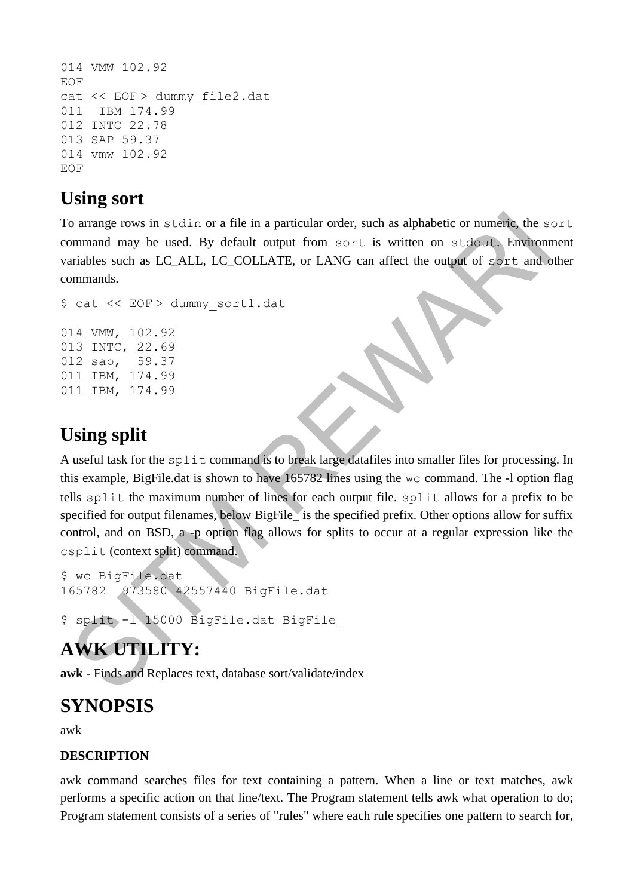```
014 VMW 102.92
EOF
cat << EOF > dummy_file2.dat
011 IBM 174.99
012 INTC 22.78
013 SAP 59.37
014 vmw 102.92
EOF
```
# **Using sort**

To arrange rows in stdin or a file in a particular order, such as alphabetic or numeric, the sort command may be used. By default output from sort is written on stdout. Environment variables such as LC\_ALL, LC\_COLLATE, or LANG can affect the output of sort and other commands.

```
$ cat << EOF > dummy_sort1.dat
014 VMW, 102.92
013 INTC, 22.69
012 sap, 59.37
011 IBM, 174.99
011 IBM, 174.99
```
# **Using split**

A useful task for the split command is to break large datafiles into smaller files for processing. In this example, BigFile.dat is shown to have 165782 lines using the wc command. The -l option flag tells split the maximum number of lines for each output file. split allows for a prefix to be specified for output filenames, below BigFile\_ is the specified prefix. Other options allow for suffix control, and on BSD, a -p option flag allows for splits to occur at a regular expression like the csplit (context split) command.

```
$ wc BigFile.dat
165782 973580 42557440 BigFile.dat
$ split -l 15000 BigFile.dat BigFile_
```
# **AWK UTILITY:**

**awk** - Finds and Replaces text, database sort/validate/index

# **SYNOPSIS**

awk

## **DESCRIPTION**

awk command searches files for text containing a pattern. When a line or text matches, awk performs a specific action on that line/text. The Program statement tells awk what operation to do; Program statement consists of a series of "rules" where each rule specifies one pattern to search for,